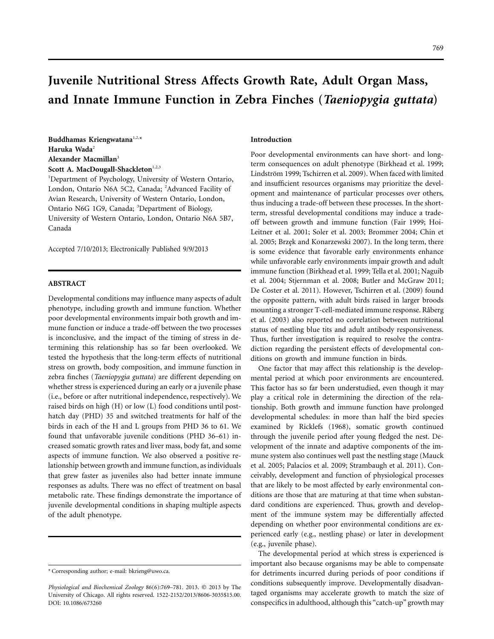# **Juvenile Nutritional Stress Affects Growth Rate, Adult Organ Mass, and Innate Immune Function in Zebra Finches (***Taeniopygia guttata***)**

**Buddhamas Kriengwatana**1,2,\* **Haruka Wada**<sup>2</sup> **Alexander Macmillan**<sup>3</sup> Scott A. MacDougall-Shackleton<sup>1,2,3</sup>

<sup>1</sup>Department of Psychology, University of Western Ontario, London, Ontario N6A 5C2, Canada; <sup>2</sup>Advanced Facility of Avian Research, University of Western Ontario, London, Ontario N6G 1G9, Canada; <sup>3</sup>Department of Biology, University of Western Ontario, London, Ontario N6A 5B7, Canada

Accepted 7/10/2013; Electronically Published 9/9/2013

## **ABSTRACT**

Developmental conditions may influence many aspects of adult phenotype, including growth and immune function. Whether poor developmental environments impair both growth and immune function or induce a trade-off between the two processes is inconclusive, and the impact of the timing of stress in determining this relationship has so far been overlooked. We tested the hypothesis that the long-term effects of nutritional stress on growth, body composition, and immune function in zebra finches (*Taeniopygia guttata*) are different depending on whether stress is experienced during an early or a juvenile phase (i.e., before or after nutritional independence, respectively). We raised birds on high (H) or low (L) food conditions until posthatch day (PHD) 35 and switched treatments for half of the birds in each of the H and L groups from PHD 36 to 61. We found that unfavorable juvenile conditions (PHD 36–61) increased somatic growth rates and liver mass, body fat, and some aspects of immune function. We also observed a positive relationship between growth and immune function, as individuals that grew faster as juveniles also had better innate immune responses as adults. There was no effect of treatment on basal metabolic rate. These findings demonstrate the importance of juvenile developmental conditions in shaping multiple aspects of the adult phenotype.

### **Introduction**

Poor developmental environments can have short- and longterm consequences on adult phenotype (Birkhead et al. 1999; Lindström 1999; Tschirren et al. 2009). When faced with limited and insufficient resources organisms may prioritize the development and maintenance of particular processes over others, thus inducing a trade-off between these processes. In the shortterm, stressful developmental conditions may induce a tradeoff between growth and immune function (Fair 1999; Hoi-Leitner et al. 2001; Soler et al. 2003; Brommer 2004; Chin et al. 2005; Brzęk and Konarzewski 2007). In the long term, there is some evidence that favorable early environments enhance while unfavorable early environments impair growth and adult immune function (Birkhead et al. 1999; Tella et al. 2001; Naguib et al. 2004; Stjernman et al. 2008; Butler and McGraw 2011; De Coster et al. 2011). However, Tschirren et al. (2009) found the opposite pattern, with adult birds raised in larger broods mounting a stronger T-cell-mediated immune response. Råberg et al. (2003) also reported no correlation between nutritional status of nestling blue tits and adult antibody responsiveness. Thus, further investigation is required to resolve the contradiction regarding the persistent effects of developmental conditions on growth and immune function in birds.

One factor that may affect this relationship is the developmental period at which poor environments are encountered. This factor has so far been understudied, even though it may play a critical role in determining the direction of the relationship. Both growth and immune function have prolonged developmental schedules: in more than half the bird species examined by Ricklefs (1968), somatic growth continued through the juvenile period after young fledged the nest. Development of the innate and adaptive components of the immune system also continues well past the nestling stage (Mauck et al. 2005; Palacios et al. 2009; Strambaugh et al. 2011). Conceivably, development and function of physiological processes that are likely to be most affected by early environmental conditions are those that are maturing at that time when substandard conditions are experienced. Thus, growth and development of the immune system may be differentially affected depending on whether poor environmental conditions are experienced early (e.g., nestling phase) or later in development (e.g., juvenile phase).

The developmental period at which stress is experienced is important also because organisms may be able to compensate for detriments incurred during periods of poor conditions if conditions subsequently improve. Developmentally disadvantaged organisms may accelerate growth to match the size of conspecifics in adulthood, although this "catch-up" growth may

<sup>\*</sup> Corresponding author; e-mail: [bkrieng@uwo.ca.](mailto:bkrieng@uwo.ca)

Physiological and Biochemical Zoology 86(6):769-781. 2013. © 2013 by The University of Chicago. All rights reserved. 1522-2152/2013/8606-3035\$15.00. DOI: 10.1086/673260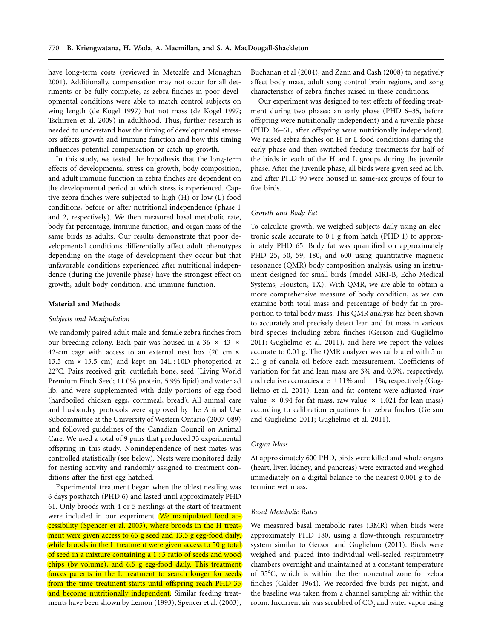have long-term costs (reviewed in Metcalfe and Monaghan 2001). Additionally, compensation may not occur for all detriments or be fully complete, as zebra finches in poor developmental conditions were able to match control subjects on wing length (de Kogel 1997) but not mass (de Kogel 1997; Tschirren et al. 2009) in adulthood. Thus, further research is needed to understand how the timing of developmental stressors affects growth and immune function and how this timing influences potential compensation or catch-up growth.

In this study, we tested the hypothesis that the long-term effects of developmental stress on growth, body composition, and adult immune function in zebra finches are dependent on the developmental period at which stress is experienced. Captive zebra finches were subjected to high (H) or low (L) food conditions, before or after nutritional independence (phase 1 and 2, respectively). We then measured basal metabolic rate, body fat percentage, immune function, and organ mass of the same birds as adults. Our results demonstrate that poor developmental conditions differentially affect adult phenotypes depending on the stage of development they occur but that unfavorable conditions experienced after nutritional independence (during the juvenile phase) have the strongest effect on growth, adult body condition, and immune function.

#### **Material and Methods**

#### *Subjects and Manipulation*

We randomly paired adult male and female zebra finches from our breeding colony. Each pair was housed in a 36  $\times$  43  $\times$ 42-cm cage with access to an external nest box (20 cm  $\times$ 13.5 cm  $\times$  13.5 cm) and kept on 14L : 10D photoperiod at 22C. Pairs received grit, cuttlefish bone, seed (Living World Premium Finch Seed; 11.0% protein, 5.9% lipid) and water ad lib. and were supplemented with daily portions of egg-food (hardboiled chicken eggs, cornmeal, bread). All animal care and husbandry protocols were approved by the Animal Use Subcommittee at the University of Western Ontario (2007-089) and followed guidelines of the Canadian Council on Animal Care. We used a total of 9 pairs that produced 33 experimental offspring in this study. Nonindependence of nest-mates was controlled statistically (see below). Nests were monitored daily for nesting activity and randomly assigned to treatment conditions after the first egg hatched.

Experimental treatment began when the oldest nestling was 6 days posthatch (PHD 6) and lasted until approximately PHD 61. Only broods with 4 or 5 nestlings at the start of treatment were included in our experiment. We manipulated food accessibility (Spencer et al. 2003), where broods in the H treatment were given access to 65 g seed and 13.5 g egg-food daily, while broods in the L treatment were given access to 50 g total of seed in a mixture containing a 1 : 3 ratio of seeds and wood chips (by volume), and 6.5 g egg-food daily. This treatment forces parents in the L treatment to search longer for seeds from the time treatment starts until offspring reach PHD 35 and become nutritionally independent. Similar feeding treatments have been shown by Lemon (1993), Spencer et al. (2003),

Buchanan et al (2004), and Zann and Cash (2008) to negatively affect body mass, adult song control brain regions, and song characteristics of zebra finches raised in these conditions.

Our experiment was designed to test effects of feeding treatment during two phases: an early phase (PHD 6–35, before offspring were nutritionally independent) and a juvenile phase (PHD 36–61, after offspring were nutritionally independent). We raised zebra finches on H or L food conditions during the early phase and then switched feeding treatments for half of the birds in each of the H and L groups during the juvenile phase. After the juvenile phase, all birds were given seed ad lib. and after PHD 90 were housed in same-sex groups of four to five birds.

## *Growth and Body Fat*

To calculate growth, we weighed subjects daily using an electronic scale accurate to 0.1 g from hatch (PHD 1) to approximately PHD 65. Body fat was quantified on approximately PHD 25, 50, 59, 180, and 600 using quantitative magnetic resonance (QMR) body composition analysis, using an instrument designed for small birds (model MRI-B, Echo Medical Systems, Houston, TX). With QMR, we are able to obtain a more comprehensive measure of body condition, as we can examine both total mass and percentage of body fat in proportion to total body mass. This QMR analysis has been shown to accurately and precisely detect lean and fat mass in various bird species including zebra finches (Gerson and Guglielmo 2011; Guglielmo et al. 2011), and here we report the values accurate to 0.01 g. The QMR analyzer was calibrated with 5 or 2.1 g of canola oil before each measurement. Coefficients of variation for fat and lean mass are 3% and 0.5%, respectively, and relative accuracies are  $\pm$  11% and  $\pm$  1%, respectively (Guglielmo et al. 2011). Lean and fat content were adjusted (raw value  $\times$  0.94 for fat mass, raw value  $\times$  1.021 for lean mass) according to calibration equations for zebra finches (Gerson and Guglielmo 2011; Guglielmo et al. 2011).

#### *Organ Mass*

At approximately 600 PHD, birds were killed and whole organs (heart, liver, kidney, and pancreas) were extracted and weighed immediately on a digital balance to the nearest 0.001 g to determine wet mass.

## *Basal Metabolic Rates*

We measured basal metabolic rates (BMR) when birds were approximately PHD 180, using a flow-through respirometry system similar to Gerson and Guglielmo (2011). Birds were weighed and placed into individual well-sealed respirometry chambers overnight and maintained at a constant temperature of 35C, which is within the thermoneutral zone for zebra finches (Calder 1964). We recorded five birds per night, and the baseline was taken from a channel sampling air within the room. Incurrent air was scrubbed of  $CO<sub>2</sub>$  and water vapor using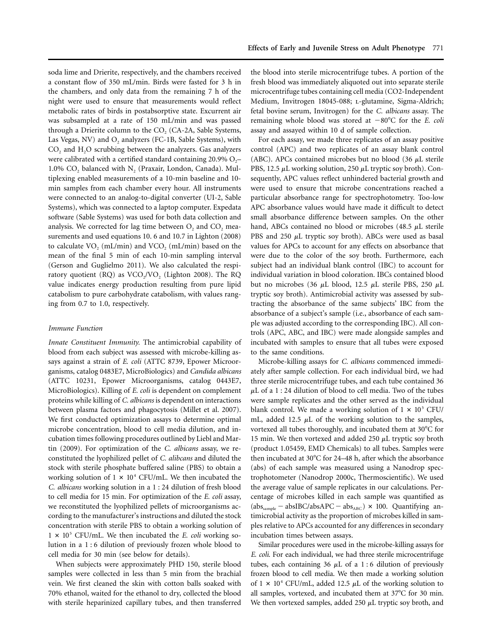soda lime and Drierite, respectively, and the chambers received a constant flow of 350 mL/min. Birds were fasted for 3 h in the chambers, and only data from the remaining 7 h of the night were used to ensure that measurements would reflect metabolic rates of birds in postabsorptive state. Excurrent air was subsampled at a rate of 150 mL/min and was passed through a Drierite column to the  $CO<sub>2</sub>$  (CA-2A, Sable Systems, Las Vegas, NV) and  $O_2$  analyzers (FC-1B, Sable Systems), with  $CO<sub>2</sub>$  and  $H<sub>2</sub>O$  scrubbing between the analyzers. Gas analyzers were calibrated with a certified standard containing 20.9%  $O_2$ – 1.0%  $CO<sub>2</sub>$  balanced with N<sub>2</sub> (Praxair, London, Canada). Multiplexing enabled measurements of a 10-min baseline and 10 min samples from each chamber every hour. All instruments were connected to an analog-to-digital converter (UI-2, Sable Systems), which was connected to a laptop computer. Expedata software (Sable Systems) was used for both data collection and analysis. We corrected for lag time between  $O_2$  and  $CO_2$  measurements and used equations 10. 6 and 10.7 in Lighton (2008) to calculate  $VO<sub>2</sub>$  (mL/min) and  $VCO<sub>2</sub>$  (mL/min) based on the mean of the final 5 min of each 10-min sampling interval (Gerson and Guglielmo 2011). We also calculated the respiratory quotient (RQ) as  $VCO<sub>2</sub>/VO$ <sub>2</sub> (Lighton 2008). The RQ value indicates energy production resulting from pure lipid catabolism to pure carbohydrate catabolism, with values ranging from 0.7 to 1.0, respectively.

# *Immune Function*

*Innate Constituent Immunity.* The antimicrobial capability of blood from each subject was assessed with microbe-killing assays against a strain of *E. coli* (ATTC 8739, Epower Microorganisms, catalog 0483E7, MicroBiologics) and *Candida albicans* (ATTC 10231, Epower Microorganisms, catalog 0443E7, MicroBiologics). Killing of *E. coli* is dependent on complement proteins while killing of *C. albicans* is dependent on interactions between plasma factors and phagocytosis (Millet et al. 2007). We first conducted optimization assays to determine optimal microbe concentration, blood to cell media dilution, and incubation times following procedures outlined by Liebl and Martin (2009). For optimization of the *C. albicans* assay, we reconstituted the lyophilized pellet of *C. alibcans* and diluted the stock with sterile phosphate buffered saline (PBS) to obtain a working solution of  $1 \times 10^4$  CFU/mL. We then incubated the *C. albicans* working solution in a 1 : 24 dilution of fresh blood to cell media for 15 min. For optimization of the *E. coli* assay, we reconstituted the lyophilized pellets of microorganisms according to the manufacturer's instructions and diluted the stock concentration with sterile PBS to obtain a working solution of  $1 \times 10^5$  CFU/mL. We then incubated the *E. coli* working solution in a 1 : 6 dilution of previously frozen whole blood to cell media for 30 min (see below for details).

When subjects were approximately PHD 150, sterile blood samples were collected in less than 5 min from the brachial vein. We first cleaned the skin with cotton balls soaked with 70% ethanol, waited for the ethanol to dry, collected the blood with sterile heparinized capillary tubes, and then transferred

the blood into sterile microcentrifuge tubes. A portion of the fresh blood was immediately aliquoted out into separate sterile microcentrifuge tubes containing cell media (CO2-Independent Medium, Invitrogen 18045-088; L-glutamine, Sigma-Aldrich; fetal bovine serum, Invitrogen) for the *C. albicans* assay. The remaining whole blood was stored at -80°C for the *E. coli* assay and assayed within 10 d of sample collection.

For each assay, we made three replicates of an assay positive control (APC) and two replicates of an assay blank control (ABC). APCs contained microbes but no blood (36  $\mu$ L sterile PBS, 12.5  $\mu$ L working solution, 250  $\mu$ L tryptic soy broth). Consequently, APC values reflect unhindered bacterial growth and were used to ensure that microbe concentrations reached a particular absorbance range for spectrophotometry. Too-low APC absorbance values would have made it difficult to detect small absorbance difference between samples. On the other hand, ABCs contained no blood or microbes (48.5  $\mu$ L sterile PBS and 250  $\mu$ L tryptic soy broth). ABCs were used as basal values for APCs to account for any effects on absorbance that were due to the color of the soy broth. Furthermore, each subject had an individual blank control (IBC) to account for individual variation in blood coloration. IBCs contained blood but no microbes (36  $\mu$ L blood, 12.5  $\mu$ L sterile PBS, 250  $\mu$ L tryptic soy broth). Antimicrobial activity was assessed by subtracting the absorbance of the same subjects' IBC from the absorbance of a subject's sample (i.e., absorbance of each sample was adjusted according to the corresponding IBC). All controls (APC, ABC, and IBC) were made alongside samples and incubated with samples to ensure that all tubes were exposed to the same conditions.

Microbe-killing assays for *C. albicans* commenced immediately after sample collection. For each individual bird, we had three sterile microcentrifuge tubes, and each tube contained 36  $\mu$ L of a 1 : 24 dilution of blood to cell media. Two of the tubes were sample replicates and the other served as the individual blank control. We made a working solution of  $1 \times 10^5$  CFU/ mL, added 12.5  $\mu$ L of the working solution to the samples, vortexed all tubes thoroughly, and incubated them at 30°C for 15 min. We then vortexed and added 250  $\mu$ L tryptic soy broth (product 1.05459, EMD Chemicals) to all tubes. Samples were then incubated at  $30^{\circ}$ C for 24–48 h, after which the absorbance (abs) of each sample was measured using a Nanodrop spectrophotometer (Nanodrop 2000c, Thermoscientific). We used the average value of sample replicates in our calculations. Percentage of microbes killed in each sample was quantified as  $(abs_{sample} - absIBC/absAPC - abs_{ABC}) \times 100$ . Quantifying antimicrobial activity as the proportion of microbes killed in samples relative to APCs accounted for any differences in secondary incubation times between assays.

Similar procedures were used in the microbe-killing assays for *E. coli*. For each individual, we had three sterile microcentrifuge tubes, each containing 36  $\mu$ L of a 1:6 dilution of previously frozen blood to cell media. We then made a working solution of  $1 \times 10^4$  CFU/mL, added 12.5  $\mu$ L of the working solution to all samples, vortexed, and incubated them at  $37^{\circ}$ C for 30 min. We then vortexed samples, added 250  $\mu$ L tryptic soy broth, and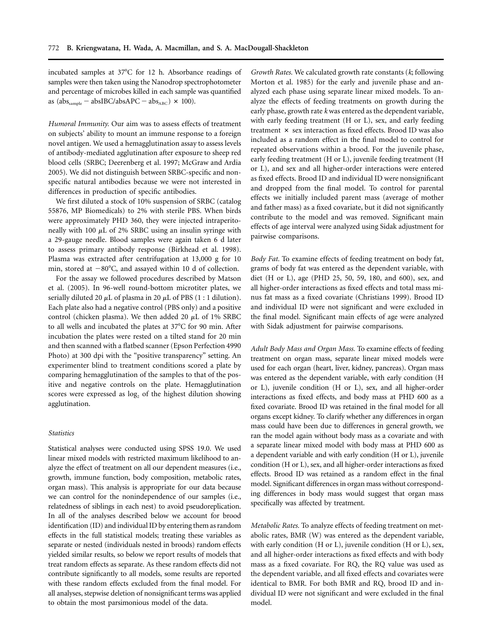incubated samples at 37°C for 12 h. Absorbance readings of samples were then taken using the Nanodrop spectrophotometer and percentage of microbes killed in each sample was quantified as  $(abs_{sample} - absIBC/absAPC - abs_{ABC}) \times 100$ ).

*Humoral Immunity.* Our aim was to assess effects of treatment on subjects' ability to mount an immune response to a foreign novel antigen. We used a hemagglutination assay to assess levels of antibody-mediated agglutination after exposure to sheep red blood cells (SRBC; Deerenberg et al. 1997; McGraw and Ardia 2005). We did not distinguish between SRBC-specific and nonspecific natural antibodies because we were not interested in differences in production of specific antibodies.

We first diluted a stock of 10% suspension of SRBC (catalog 55876, MP Biomedicals) to 2% with sterile PBS. When birds were approximately PHD 360, they were injected intraperitoneally with 100  $\mu$ L of 2% SRBC using an insulin syringe with a 29-gauge needle. Blood samples were again taken 6 d later to assess primary antibody response (Birkhead et al. 1998). Plasma was extracted after centrifugation at 13,000 g for 10 min, stored at  $-80^{\circ}$ C, and assayed within 10 d of collection.

For the assay we followed procedures described by Matson et al. (2005). In 96-well round-bottom microtiter plates, we serially diluted 20  $\mu$ L of plasma in 20  $\mu$ L of PBS (1 : 1 dilution). Each plate also had a negative control (PBS only) and a positive control (chicken plasma). We then added 20  $\mu$ L of 1% SRBC to all wells and incubated the plates at 37°C for 90 min. After incubation the plates were rested on a tilted stand for 20 min and then scanned with a flatbed scanner (Epson Perfection 4990 Photo) at 300 dpi with the "positive transparency" setting. An experimenter blind to treatment conditions scored a plate by comparing hemagglutination of the samples to that of the positive and negative controls on the plate. Hemagglutination scores were expressed as  $log<sub>2</sub>$  of the highest dilution showing agglutination.

## *Statistics*

Statistical analyses were conducted using SPSS 19.0. We used linear mixed models with restricted maximum likelihood to analyze the effect of treatment on all our dependent measures (i.e., growth, immune function, body composition, metabolic rates, organ mass). This analysis is appropriate for our data because we can control for the nonindependence of our samples (i.e., relatedness of siblings in each nest) to avoid pseudoreplication. In all of the analyses described below we account for brood identification (ID) and individual ID by entering them as random effects in the full statistical models; treating these variables as separate or nested (individuals nested in broods) random effects yielded similar results, so below we report results of models that treat random effects as separate. As these random effects did not contribute significantly to all models, some results are reported with these random effects excluded from the final model. For all analyses, stepwise deletion of nonsignificant terms was applied to obtain the most parsimonious model of the data.

*Growth Rates.* We calculated growth rate constants (*k*; following Morton et al. 1985) for the early and juvenile phase and analyzed each phase using separate linear mixed models. To analyze the effects of feeding treatments on growth during the early phase, growth rate *k* was entered as the dependent variable, with early feeding treatment (H or L), sex, and early feeding treatment  $\times$  sex interaction as fixed effects. Brood ID was also included as a random effect in the final model to control for repeated observations within a brood. For the juvenile phase, early feeding treatment (H or L), juvenile feeding treatment (H or L), and sex and all higher-order interactions were entered as fixed effects. Brood ID and individual ID were nonsignificant and dropped from the final model. To control for parental effects we initially included parent mass (average of mother and father mass) as a fixed covariate, but it did not significantly contribute to the model and was removed. Significant main effects of age interval were analyzed using Sidak adjustment for pairwise comparisons.

*Body Fat.* To examine effects of feeding treatment on body fat, grams of body fat was entered as the dependent variable, with diet (H or L), age (PHD 25, 50, 59, 180, and 600), sex, and all higher-order interactions as fixed effects and total mass minus fat mass as a fixed covariate (Christians 1999). Brood ID and individual ID were not significant and were excluded in the final model. Significant main effects of age were analyzed with Sidak adjustment for pairwise comparisons.

*Adult Body Mass and Organ Mass.* To examine effects of feeding treatment on organ mass, separate linear mixed models were used for each organ (heart, liver, kidney, pancreas). Organ mass was entered as the dependent variable, with early condition (H or L), juvenile condition (H or L), sex, and all higher-order interactions as fixed effects, and body mass at PHD 600 as a fixed covariate. Brood ID was retained in the final model for all organs except kidney. To clarify whether any differences in organ mass could have been due to differences in general growth, we ran the model again without body mass as a covariate and with a separate linear mixed model with body mass at PHD 600 as a dependent variable and with early condition (H or L), juvenile condition (H or L), sex, and all higher-order interactions as fixed effects. Brood ID was retained as a random effect in the final model. Significant differences in organ mass without corresponding differences in body mass would suggest that organ mass specifically was affected by treatment.

*Metabolic Rates.* To analyze effects of feeding treatment on metabolic rates, BMR (W) was entered as the dependent variable, with early condition (H or L), juvenile condition (H or L), sex, and all higher-order interactions as fixed effects and with body mass as a fixed covariate. For RQ, the RQ value was used as the dependent variable, and all fixed effects and covariates were identical to BMR. For both BMR and RQ, brood ID and individual ID were not significant and were excluded in the final model.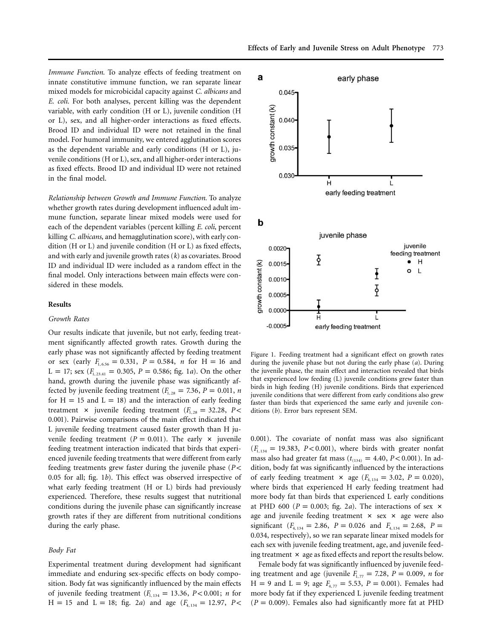*Immune Function.* To analyze effects of feeding treatment on innate constitutive immune function, we ran separate linear mixed models for microbicidal capacity against *C. albicans* and *E. coli.* For both analyses, percent killing was the dependent variable, with early condition (H or L), juvenile condition (H or L), sex, and all higher-order interactions as fixed effects. Brood ID and individual ID were not retained in the final model. For humoral immunity, we entered agglutination scores as the dependent variable and early conditions (H or L), juvenile conditions (H or L), sex, and all higher-order interactions as fixed effects. Brood ID and individual ID were not retained in the final model.

*Relationship between Growth and Immune Function.* To analyze whether growth rates during development influenced adult immune function, separate linear mixed models were used for each of the dependent variables (percent killing *E. coli*, percent killing *C. albicans*, and hemagglutination score), with early condition (H or L) and juvenile condition (H or L) as fixed effects, and with early and juvenile growth rates (*k*) as covariates. Brood ID and individual ID were included as a random effect in the final model. Only interactions between main effects were considered in these models.

## **Results**

#### *Growth Rates*

Our results indicate that juvenile, but not early, feeding treatment significantly affected growth rates. Growth during the early phase was not significantly affected by feeding treatment or sex (early  $F_{1, 6.56} = 0.331$ ,  $P = 0.584$ , *n* for H = 16 and  $L = 17$ ; sex  $(F_{1, 23.41} = 0.305, P = 0.586$ ; fig. 1*a*). On the other hand, growth during the juvenile phase was significantly affected by juvenile feeding treatment ( $F_{1,28} = 7.36$ ,  $P = 0.011$ , *n* for  $H = 15$  and  $L = 18$ ) and the interaction of early feeding treatment  $\times$  juvenile feeding treatment ( $F_{1,28} = 32.28$ ,  $P \lt \sqrt{ }$ 0.001). Pairwise comparisons of the main effect indicated that L juvenile feeding treatment caused faster growth than H juvenile feeding treatment ( $P = 0.011$ ). The early  $\times$  juvenile feeding treatment interaction indicated that birds that experienced juvenile feeding treatments that were different from early feeding treatments grew faster during the juvenile phase (*P* < 0.05 for all; fig. 1*b*). This effect was observed irrespective of what early feeding treatment (H or L) birds had previously experienced. Therefore, these results suggest that nutritional conditions during the juvenile phase can significantly increase growth rates if they are different from nutritional conditions during the early phase.

## *Body Fat*

Experimental treatment during development had significant immediate and enduring sex-specific effects on body composition. Body fat was significantly influenced by the main effects of juvenile feeding treatment  $(F_{1,134} = 13.36, P < 0.001; n$  for  $H = 15$  and  $L = 18$ ; fig. 2*a*) and age ( $F_{4, 134} = 12.97$ ,  $P <$ 



Figure 1. Feeding treatment had a significant effect on growth rates during the juvenile phase but not during the early phase (*a*). During the juvenile phase, the main effect and interaction revealed that birds that experienced low feeding (L) juvenile conditions grew faster than birds in high feeding (H) juvenile conditions. Birds that experienced juvenile conditions that were different from early conditions also grew faster than birds that experienced the same early and juvenile conditions (*b*). Error bars represent SEM.

0.001). The covariate of nonfat mass was also significant  $(F_{1, 134} = 19.383, P < 0.001)$ , where birds with greater nonfat mass also had greater fat mass ( $t_{(134)} = 4.40$ ,  $P < 0.001$ ). In addition, body fat was significantly influenced by the interactions of early feeding treatment  $\times$  age ( $F_{4, 134} = 3.02$ ,  $P = 0.020$ ), where birds that experienced H early feeding treatment had more body fat than birds that experienced L early conditions at PHD 600 ( $P = 0.003$ ; fig. 2*a*). The interactions of sex  $\times$ age and juvenile feeding treatment  $\times$  sex  $\times$  age were also significant  $(F_{4, 134} = 2.86, P = 0.026 \text{ and } F_{4, 134} = 2.68, P =$ 0.034, respectively), so we ran separate linear mixed models for each sex with juvenile feeding treatment, age, and juvenile feeding treatment  $\times$  age as fixed effects and report the results below.

Female body fat was significantly influenced by juvenile feeding treatment and age (juvenile  $F_{1,77} = 7.28$ ,  $P = 0.009$ , *n* for  $H = 9$  and  $L = 9$ ; age  $F_{4, 77} = 5.53$ ,  $P = 0.001$ ). Females had more body fat if they experienced L juvenile feeding treatment  $(P = 0.009)$ . Females also had significantly more fat at PHD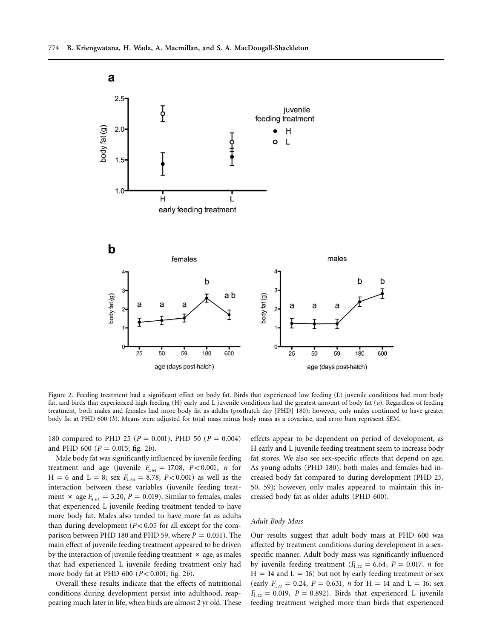

Figure 2. Feeding treatment had a significant effect on body fat. Birds that experienced low feeding (L) juvenile conditions had more body fat, and birds that experienced high feeding (H) early and L juvenile conditions had the greatest amount of body fat (*a*). Regardless of feeding treatment, both males and females had more body fat as adults (posthatch day [PHD] 180); however, only males continued to have greater body fat at PHD 600 (*b*). Means were adjusted for total mass minus body mass as a covariate, and error bars represent SEM.

180 compared to PHD 25 ( $P = 0.001$ ), PHD 50 ( $P = 0.004$ ) and PHD 600 ( $P = 0.015$ ; fig. 2*b*).

Male body fat was significantly influenced by juvenile feeding treatment and age (juvenile  $F_{1, 64} = 17.08$ ,  $P < 0.001$ , *n* for  $H = 6$  and  $L = 8$ ; sex  $F_{4, 64} = 8.78$ ,  $P < 0.001$ ) as well as the interaction between these variables (juvenile feeding treatment  $\times$  age  $F_{4, 64} = 3.20, P = 0.019$ . Similar to females, males that experienced L juvenile feeding treatment tended to have more body fat. Males also tended to have more fat as adults than during development  $(P< 0.05$  for all except for the comparison between PHD 180 and PHD 59, where  $P = 0.051$ ). The main effect of juvenile feeding treatment appeared to be driven by the interaction of juvenile feeding treatment  $\times$  age, as males that had experienced L juvenile feeding treatment only had more body fat at PHD 600 ( $P < 0.001$ ; fig. 2b).

Overall these results indicate that the effects of nutritional conditions during development persist into adulthood, reappearing much later in life, when birds are almost 2 yr old. These

effects appear to be dependent on period of development, as H early and L juvenile feeding treatment seem to increase body fat stores. We also see sex-specific effects that depend on age. As young adults (PHD 180), both males and females had increased body fat compared to during development (PHD 25, 50, 59); however, only males appeared to maintain this increased body fat as older adults (PHD 600).

## *Adult Body Mass*

Our results suggest that adult body mass at PHD 600 was affected by treatment conditions during development in a sexspecific manner. Adult body mass was significantly influenced by juvenile feeding treatment  $(F_{1,22} = 6.64, P = 0.017, n$  for  $H = 14$  and  $L = 16$ ) but not by early feeding treatment or sex (early  $F_{1,22} = 0.24$ ,  $P = 0.631$ ,  $n$  for H = 14 and L = 16; sex  $F_{1, 22} = 0.019$ ,  $P = 0.892$ ). Birds that experienced L juvenile feeding treatment weighed more than birds that experienced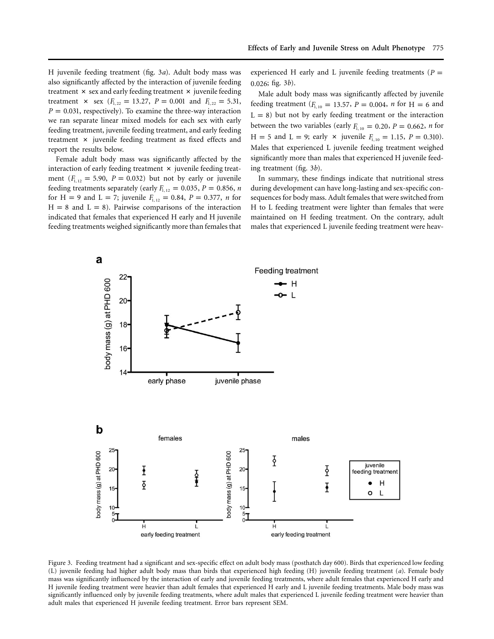H juvenile feeding treatment (fig. 3*a*). Adult body mass was also significantly affected by the interaction of juvenile feeding treatment  $\times$  sex and early feeding treatment  $\times$  juvenile feeding treatment  $\times$  sex  $(F_{1,22} = 13.27, P = 0.001$  and  $F_{1,22} = 5.31,$  $P = 0.031$ , respectively). To examine the three-way interaction we ran separate linear mixed models for each sex with early feeding treatment, juvenile feeding treatment, and early feeding treatment  $\times$  juvenile feeding treatment as fixed effects and report the results below.

Female adult body mass was significantly affected by the interaction of early feeding treatment  $\times$  juvenile feeding treatment  $(F_{1,12} = 5.90, P = 0.032)$  but not by early or juvenile feeding treatments separately (early  $F_{1,12} = 0.035$ ,  $P = 0.856$ , *n* for H = 9 and L = 7; juvenile  $F_{1,12} = 0.84$ ,  $P = 0.377$ , *n* for  $H = 8$  and  $L = 8$ ). Pairwise comparisons of the interaction indicated that females that experienced H early and H juvenile feeding treatments weighed significantly more than females that

experienced H early and L juvenile feeding treatments ( $P =$ 0.026; fig. 3*b*).

Male adult body mass was significantly affected by juvenile feeding treatment ( $F_{1, 10} = 13.57$ ,  $P = 0.004$ ,  $n$  for H = 6 and  $L = 8$ ) but not by early feeding treatment or the interaction between the two variables (early  $F_{1,10} = 0.20$ ,  $P = 0.662$ , *n* for  $H = 5$  and  $L = 9$ ; early  $\times$  juvenile  $F_{1, 10} = 1.15$ ,  $P = 0.310$ . Males that experienced L juvenile feeding treatment weighed significantly more than males that experienced H juvenile feeding treatment (fig. 3*b*).

In summary, these findings indicate that nutritional stress during development can have long-lasting and sex-specific consequences for body mass. Adult females that were switched from H to L feeding treatment were lighter than females that were maintained on H feeding treatment. On the contrary, adult males that experienced L juvenile feeding treatment were heav-



Figure 3. Feeding treatment had a significant and sex-specific effect on adult body mass (posthatch day 600). Birds that experienced low feeding (L) juvenile feeding had higher adult body mass than birds that experienced high feeding (H) juvenile feeding treatment (*a*). Female body mass was significantly influenced by the interaction of early and juvenile feeding treatments, where adult females that experienced H early and H juvenile feeding treatment were heavier than adult females that experienced H early and L juvenile feeding treatments. Male body mass was significantly influenced only by juvenile feeding treatments, where adult males that experienced L juvenile feeding treatment were heavier than adult males that experienced H juvenile feeding treatment. Error bars represent SEM.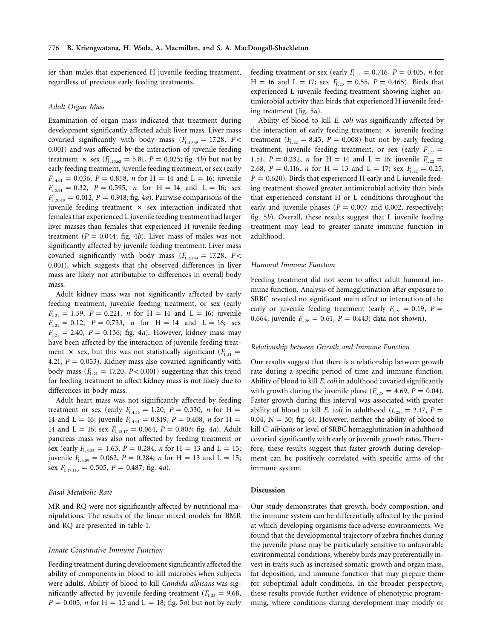ier than males that experienced H juvenile feeding treatment, regardless of previous early feeding treatments.

# *Adult Organ Mass*

Examination of organ mass indicated that treatment during development significantly affected adult liver mass. Liver mass covaried significantly with body mass  $(F_{1, 20.49} = 17.28, P <$ 0.001) and was affected by the interaction of juvenile feeding treatment  $\times$  sex ( $F_{1, 20.62} = 5.81, P = 0.025$ ; fig. 4*b*) but not by early feeding treatment, juvenile feeding treatment, or sex (early  $F_{1,491} = 0.036$ ,  $P = 0.858$ , *n* for H = 14 and L = 16; juvenile  $F_{1, 5.91} = 0.32$ ,  $P = 0.595$ , *n* for H = 14 and L = 16; sex  $F_{1, 20.48} = 0.012$ ,  $P = 0.918$ ; fig. 4*a*). Pairwise comparisons of the juvenile feeding treatment  $\times$  sex interaction indicated that females that experienced L juvenile feeding treatment had larger liver masses than females that experienced H juvenile feeding treatment ( $P = 0.044$ ; fig. 4*b*). Liver mass of males was not significantly affected by juvenile feeding treatment. Liver mass covaried significantly with body mass  $(F_{1, 20.49} = 17.28, P <$ 0.001), which suggests that the observed differences in liver mass are likely not attributable to differences in overall body mass.

Adult kidney mass was not significantly affected by early feeding treatment, juvenile feeding treatment, or sex (early  $F_{1, 21} = 1.59$ ,  $P = 0.221$ , *n* for H = 14 and L = 16; juvenile  $F_{1, 21} = 0.12$ ,  $P = 0.733$ , *n* for  $H = 14$  and  $L = 16$ ; sex  $F_{1, 21} = 2.40, P = 0.136;$  fig. 4*a*). However, kidney mass may have been affected by the interaction of juvenile feeding treatment  $\times$  sex, but this was not statistically significant ( $F_{1,21}$  = 4.21,  $P = 0.053$ ). Kidney mass also covaried significantly with body mass  $(F_{1,21} = 17.20, P < 0.001)$  suggesting that this trend for feeding treatment to affect kidney mass is not likely due to differences in body mass.

Adult heart mass was not significantly affected by feeding treatment or sex (early  $F_{1,4,35} = 1.20$ ,  $P = 0.330$ , *n* for H = 14 and L = 16; juvenile  $F_{1,4.91} = 0.819$ ,  $P = 0.408$ , *n* for H = 14 and L = 16; sex  $F_{1,18,17} = 0.064$ ,  $P = 0.803$ ; fig. 4*a*). Adult pancreas mass was also not affected by feeding treatment or sex (early  $F_{1, 3.32} = 1.63$ ,  $P = 0.284$ , *n* for H = 13 and L = 15; juvenile  $F_{1,4.09} = 0.062$ ,  $P = 0.284$ , *n* for H = 13 and L = 15; sex  $F_{1,17,113} = 0.505$ ,  $P = 0.487$ ; fig. 4*a*).

## *Basal Metabolic Rate*

MR and RQ were not significantly affected by nutritional manipulations. The results of the linear mixed models for BMR and RQ are presented in table 1.

## *Innate Constitutive Immune Function*

Feeding treatment during development significantly affected the ability of components in blood to kill microbes when subjects were adults. Ability of blood to kill *Candida albicans* was significantly affected by juvenile feeding treatment ( $F_{1,25} = 9.68$ ,  $P = 0.005$ , *n* for H = 15 and L = 18; fig. 5*a*) but not by early

feeding treatment or sex (early  $F_{1,25} = 0.716$ ,  $P = 0.405$ , *n* for  $H = 16$  and  $L = 17$ ; sex  $F_{1,25} = 0.55$ ,  $P = 0.465$ ). Birds that experienced L juvenile feeding treatment showing higher antimicrobial activity than birds that experienced H juvenile feeding treatment (fig. 5*a*).

Ability of blood to kill *E. coli* was significantly affected by the interaction of early feeding treatment  $\times$  juvenile feeding treatment  $(F_{1,22} = 8.45, P = 0.008)$  but not by early feeding treatment, juvenile feeding treatment, or sex (early  $F_{1,22}$  = 1.51,  $P = 0.232$ , *n* for H = 14 and L = 16; juvenile  $F_{1, 22}$  = 2.68,  $P = 0.116$ , *n* for H = 13 and L = 17; sex  $F_{1,22} = 0.25$ ,  $P = 0.620$ ). Birds that experienced H early and L juvenile feeding treatment showed greater antimicrobial activity than birds that experienced constant H or L conditions throughout the early and juvenile phases ( $P = 0.007$  and 0.002, respectively; fig. 5*b*). Overall, these results suggest that L juvenile feeding treatment may lead to greater innate immune function in adulthood.

#### *Humoral Immune Function*

Feeding treatment did not seem to affect adult humoral immune function. Analysis of hemagglutination after exposure to SRBC revealed no significant main effect or interaction of the early or juvenile feeding treatment (early  $F_{1,26} = 0.19$ ,  $P =$ 0.664; juvenile  $F_{1, 26} = 0.61$ ,  $P = 0.443$ ; data not shown).

#### *Relationship between Growth and Immune Function*

Our results suggest that there is a relationship between growth rate during a specific period of time and immune function, Ability of blood to kill *E. coli* in adulthood covaried significantly with growth during the juvenile phase  $(F_{1,25} = 4.69, P = 0.04)$ . Faster growth during this interval was associated with greater ability of blood to kill *E. coli* in adulthood ( $t_{(25)} = 2.17$ ,  $P =$ 0.04,  $N = 30$ ; fig. 6). However, neither the ability of blood to kill *C. albicans* or level of SRBC hemagglutination in adulthood covaried significantly with early or juvenile growth rates. Therefore, these results suggest that faster growth during development can be positively correlated with specific arms of the immune system.

### **Discussion**

Our study demonstrates that growth, body composition, and the immune system can be differentially affected by the period at which developing organisms face adverse environments. We found that the developmental trajectory of zebra finches during the juvenile phase may be particularly sensitive to unfavorable environmental conditions, whereby birds may preferentially invest in traits such as increased somatic growth and organ mass, fat deposition, and immune function that may prepare them for suboptimal adult conditions. In the broader perspective, these results provide further evidence of phenotypic programming, where conditions during development may modify or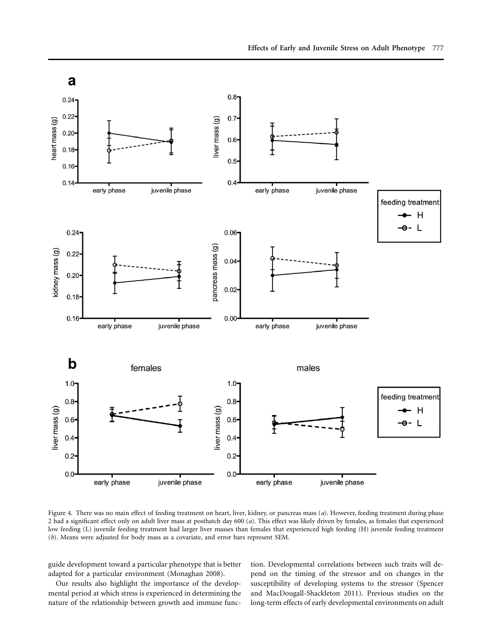

Figure 4. There was no main effect of feeding treatment on heart, liver, kidney, or pancreas mass (*a*). However, feeding treatment during phase 2 had a significant effect only on adult liver mass at posthatch day 600 (*a*). This effect was likely driven by females, as females that experienced low feeding (L) juvenile feeding treatment had larger liver masses than females that experienced high feeding (H) juvenile feeding treatment (*b*). Means were adjusted for body mass as a covariate, and error bars represent SEM.

guide development toward a particular phenotype that is better adapted for a particular environment (Monaghan 2008).

Our results also highlight the importance of the developmental period at which stress is experienced in determining the nature of the relationship between growth and immune function. Developmental correlations between such traits will depend on the timing of the stressor and on changes in the susceptibility of developing systems to the stressor (Spencer and MacDougall-Shackleton 2011). Previous studies on the long-term effects of early developmental environments on adult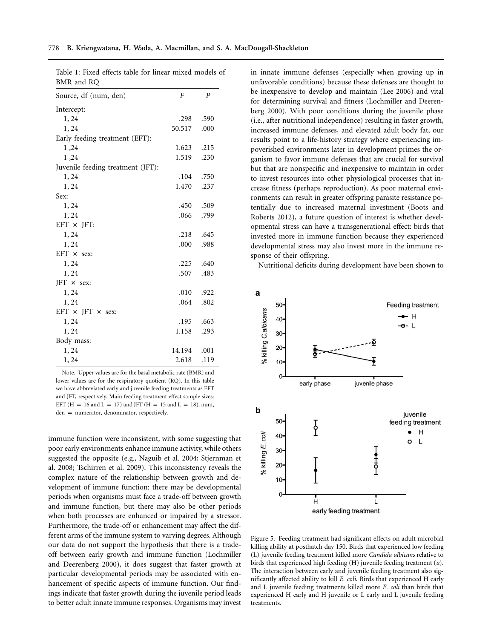| $P_{\text{max}}$ and $P_{\text{max}}$<br>Source, df (num, den) | $\boldsymbol{F}$ | $\boldsymbol{P}$ |
|----------------------------------------------------------------|------------------|------------------|
| Intercept:                                                     |                  |                  |
| 1, 24                                                          | .298             | .590             |
| 1,24                                                           | 50.517           | .000             |
| Early feeding treatment (EFT):                                 |                  |                  |
| 1,24                                                           | 1.623            | .215             |
| 1,24                                                           | 1.519            | .230             |
| Juvenile feeding treatment (JFT):                              |                  |                  |
| 1,24                                                           | .104             | .750             |
| 1,24                                                           | 1.470            | .237             |
| Sex:                                                           |                  |                  |
| 1, 24                                                          | .450             | .509             |
| 1,24                                                           | .066             | .799             |
| $EFT \times JFT$ :                                             |                  |                  |
| 1, 24                                                          | .218             | .645             |
| 1, 24                                                          | .000             | .988             |
| EFT $\times$ sex:                                              |                  |                  |
| 1, 24                                                          | .225             | .640             |
| 1, 24                                                          | .507             | .483             |
| $JFT \times sex$                                               |                  |                  |
| 1, 24                                                          | .010             | .922             |
| 1, 24                                                          | .064             | .802             |
| EFT $\times$ JFT $\times$ sex:                                 |                  |                  |
| 1,24                                                           | .195             | .663             |
| 1,24                                                           | 1.158            | .293             |
| Body mass:                                                     |                  |                  |
| 1, 24                                                          | 14.194           | .001             |
| 1, 24                                                          | 2.618            | .119             |

Table 1: Fixed effects table for linear mixed models of BMR and RQ

Note. Upper values are for the basal metabolic rate (BMR) and lower values are for the respiratory quotient (RQ). In this table we have abbreviated early and juvenile feeding treatments as EFT and JFT, respectively. Main feeding treatment effect sample sizes: EFT ( $H = 16$  and  $L = 17$ ) and JFT ( $H = 15$  and  $L = 18$ ). num,  $den = numerator, denominator, respectively.$ 

immune function were inconsistent, with some suggesting that poor early environments enhance immune activity, while others suggested the opposite (e.g., Naguib et al. 2004; Stjernman et al. 2008; Tschirren et al. 2009). This inconsistency reveals the complex nature of the relationship between growth and development of immune function: there may be developmental periods when organisms must face a trade-off between growth and immune function, but there may also be other periods when both processes are enhanced or impaired by a stressor. Furthermore, the trade-off or enhancement may affect the different arms of the immune system to varying degrees. Although our data do not support the hypothesis that there is a tradeoff between early growth and immune function (Lochmiller and Deerenberg 2000), it does suggest that faster growth at particular developmental periods may be associated with enhancement of specific aspects of immune function. Our findings indicate that faster growth during the juvenile period leads to better adult innate immune responses. Organisms may invest

in innate immune defenses (especially when growing up in unfavorable conditions) because these defenses are thought to be inexpensive to develop and maintain (Lee 2006) and vital for determining survival and fitness (Lochmiller and Deerenberg 2000). With poor conditions during the juvenile phase (i.e., after nutritional independence) resulting in faster growth, increased immune defenses, and elevated adult body fat, our results point to a life-history strategy where experiencing impoverished environments later in development primes the organism to favor immune defenses that are crucial for survival but that are nonspecific and inexpensive to maintain in order to invest resources into other physiological processes that increase fitness (perhaps reproduction). As poor maternal environments can result in greater offspring parasite resistance potentially due to increased maternal investment (Boots and Roberts 2012), a future question of interest is whether developmental stress can have a transgenerational effect: birds that invested more in immune function because they experienced developmental stress may also invest more in the immune response of their offspring.

Nutritional deficits during development have been shown to



Figure 5. Feeding treatment had significant effects on adult microbial killing ability at posthatch day 150. Birds that experienced low feeding (L) juvenile feeding treatment killed more *Candida albicans* relative to birds that experienced high feeding (H) juvenile feeding treatment (*a*). The interaction between early and juvenile feeding treatment also significantly affected ability to kill *E. coli*. Birds that experienced H early and L juvenile feeding treatments killed more *E. coli* than birds that experienced H early and H juvenile or L early and L juvenile feeding treatments.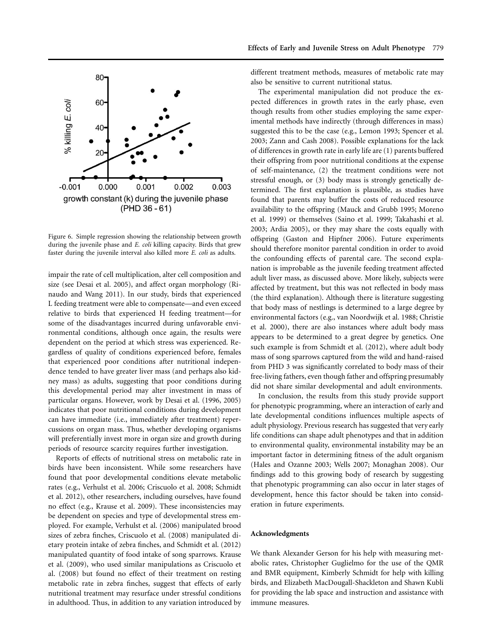

Figure 6. Simple regression showing the relationship between growth during the juvenile phase and *E. coli* killing capacity. Birds that grew faster during the juvenile interval also killed more *E. coli* as adults.

impair the rate of cell multiplication, alter cell composition and size (see Desai et al. 2005), and affect organ morphology (Rinaudo and Wang 2011). In our study, birds that experienced L feeding treatment were able to compensate—and even exceed relative to birds that experienced H feeding treatment—for some of the disadvantages incurred during unfavorable environmental conditions, although once again, the results were dependent on the period at which stress was experienced. Regardless of quality of conditions experienced before, females that experienced poor conditions after nutritional independence tended to have greater liver mass (and perhaps also kidney mass) as adults, suggesting that poor conditions during this developmental period may alter investment in mass of particular organs. However, work by Desai et al. (1996, 2005) indicates that poor nutritional conditions during development can have immediate (i.e., immediately after treatment) repercussions on organ mass. Thus, whether developing organisms will preferentially invest more in organ size and growth during periods of resource scarcity requires further investigation.

Reports of effects of nutritional stress on metabolic rate in birds have been inconsistent. While some researchers have found that poor developmental conditions elevate metabolic rates (e.g., Verhulst et al. 2006; Criscuolo et al. 2008; Schmidt et al. 2012), other researchers, including ourselves, have found no effect (e.g., Krause et al. 2009). These inconsistencies may be dependent on species and type of developmental stress employed. For example, Verhulst et al. (2006) manipulated brood sizes of zebra finches, Criscuolo et al. (2008) manipulated dietary protein intake of zebra finches, and Schmidt et al. (2012) manipulated quantity of food intake of song sparrows. Krause et al. (2009), who used similar manipulations as Criscuolo et al. (2008) but found no effect of their treatment on resting metabolic rate in zebra finches, suggest that effects of early nutritional treatment may resurface under stressful conditions in adulthood. Thus, in addition to any variation introduced by

different treatment methods, measures of metabolic rate may also be sensitive to current nutritional status.

The experimental manipulation did not produce the expected differences in growth rates in the early phase, even though results from other studies employing the same experimental methods have indirectly (through differences in mass) suggested this to be the case (e.g., Lemon 1993; Spencer et al. 2003; Zann and Cash 2008). Possible explanations for the lack of differences in growth rate in early life are (1) parents buffered their offspring from poor nutritional conditions at the expense of self-maintenance, (2) the treatment conditions were not stressful enough, or (3) body mass is strongly genetically determined. The first explanation is plausible, as studies have found that parents may buffer the costs of reduced resource availability to the offspring (Mauck and Grubb 1995; Moreno et al. 1999) or themselves (Saino et al. 1999; Takahashi et al. 2003; Ardia 2005), or they may share the costs equally with offspring (Gaston and Hipfner 2006). Future experiments should therefore monitor parental condition in order to avoid the confounding effects of parental care. The second explanation is improbable as the juvenile feeding treatment affected adult liver mass, as discussed above. More likely, subjects were affected by treatment, but this was not reflected in body mass (the third explanation). Although there is literature suggesting that body mass of nestlings is determined to a large degree by environmental factors (e.g., van Noordwijk et al. 1988; Christie et al. 2000), there are also instances where adult body mass appears to be determined to a great degree by genetics. One such example is from Schmidt et al. (2012), where adult body mass of song sparrows captured from the wild and hand-raised from PHD 3 was significantly correlated to body mass of their free-living fathers, even though father and offspring presumably did not share similar developmental and adult environments.

In conclusion, the results from this study provide support for phenotypic programming, where an interaction of early and late developmental conditions influences multiple aspects of adult physiology. Previous research has suggested that very early life conditions can shape adult phenotypes and that in addition to environmental quality, environmental instability may be an important factor in determining fitness of the adult organism (Hales and Ozanne 2003; Wells 2007; Monaghan 2008). Our findings add to this growing body of research by suggesting that phenotypic programming can also occur in later stages of development, hence this factor should be taken into consideration in future experiments.

## **Acknowledgments**

We thank Alexander Gerson for his help with measuring metabolic rates, Christopher Guglielmo for the use of the QMR and BMR equipment, Kimberly Schmidt for help with killing birds, and Elizabeth MacDougall-Shackleton and Shawn Kubli for providing the lab space and instruction and assistance with immune measures.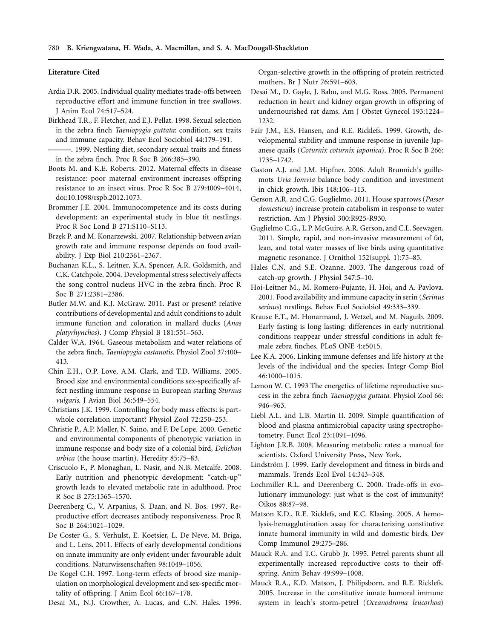#### **Literature Cited**

- Ardia D.R. 2005. Individual quality mediates trade-offs between reproductive effort and immune function in tree swallows. J Anim Ecol 74:517–524.
- Birkhead T.R., F. Fletcher, and E.J. Pellat. 1998. Sexual selection in the zebra finch *Taeniopygia guttata*: condition, sex traits and immune capacity. Behav Ecol Sociobiol 44:179–191.
- -. 1999. Nestling diet, secondary sexual traits and fitness in the zebra finch. Proc R Soc B 266:385–390.
- Boots M. and K.E. Roberts. 2012. Maternal effects in disease resistance: poor maternal environment increases offspring resistance to an insect virus. Proc R Soc B 279:4009–4014, doi:10.1098/rspb.2012.1073.
- Brommer J.E. 2004. Immunocompetence and its costs during development: an experimental study in blue tit nestlings. Proc R Soc Lond B 271:S110–S113.
- Brzęk P. and M. Konarzewski. 2007. Relationship between avian growth rate and immune response depends on food availability. J Exp Biol 210:2361–2367.
- Buchanan K.L., S. Leitner, K.A. Spencer, A.R. Goldsmith, and C.K. Catchpole. 2004. Developmental stress selectively affects the song control nucleus HVC in the zebra finch. Proc R Soc B 271:2381–2386.
- Butler M.W. and K.J. McGraw. 2011. Past or present? relative contributions of developmental and adult conditions to adult immune function and coloration in mallard ducks (*Anas platyrhynchos*). J Comp Physiol B 181:551–563.
- Calder W.A. 1964. Gaseous metabolism and water relations of the zebra finch, *Taeniopygia castanotis*. Physiol Zool 37:400– 413.
- Chin E.H., O.P. Love, A.M. Clark, and T.D. Williams. 2005. Brood size and environmental conditions sex-specifically affect nestling immune response in European starling *Sturnus vulgaris*. J Avian Biol 36:549–554.
- Christians J.K. 1999. Controlling for body mass effects: is partwhole correlation important? Physiol Zool 72:250–253.
- Christie P., A.P. Møller, N. Saino, and F. De Lope. 2000. Genetic and environmental components of phenotypic variation in immune response and body size of a colonial bird, *Delichon urbica* (the house martin). Heredity 85:75–83.
- Criscuolo F., P. Monaghan, L. Nasir, and N.B. Metcalfe. 2008. Early nutrition and phenotypic development: "catch-up" growth leads to elevated metabolic rate in adulthood. Proc R Soc B 275:1565–1570.
- Deerenberg C., V. Arpanius, S. Daan, and N. Bos. 1997. Reproductive effort decreases antibody responsiveness. Proc R Soc B 264:1021–1029.
- De Coster G., S. Verhulst, E. Koetsier, L. De Neve, M. Briga, and L. Lens. 2011. Effects of early developmental conditions on innate immunity are only evident under favourable adult conditions. Naturwissenschaften 98:1049–1056.
- De Kogel C.H. 1997. Long-term effects of brood size manipulation on morphological development and sex-specific mortality of offspring. J Anim Ecol 66:167–178.
- Desai M., N.J. Crowther, A. Lucas, and C.N. Hales. 1996.

Organ-selective growth in the offspring of protein restricted mothers. Br J Nutr 76:591–603.

- Desai M., D. Gayle, J. Babu, and M.G. Ross. 2005. Permanent reduction in heart and kidney organ growth in offspring of undernourished rat dams. Am J Obstet Gynecol 193:1224– 1232.
- Fair J.M., E.S. Hansen, and R.E. Ricklefs. 1999. Growth, developmental stability and immune response in juvenile Japanese quails (*Coturnix coturnix japonica*). Proc R Soc B 266: 1735–1742.
- Gaston A.J. and J.M. Hipfner. 2006. Adult Brunnich's guillemots *Uria Iomvia* balance body condition and investment in chick growth. Ibis 148:106–113.
- Gerson A.R. and C.G. Guglielmo. 2011. House sparrows (*Passer domesticus*) increase protein catabolism in response to water restriction. Am J Physiol 300:R925-R930.
- Guglielmo C.G., L.P. McGuire, A.R. Gerson, and C.L. Seewagen. 2011. Simple, rapid, and non-invasive measurement of fat, lean, and total water masses of live birds using quantitative magnetic resonance. J Ornithol 152(suppl. 1):75–85.
- Hales C.N. and S.E. Ozanne. 2003. The dangerous road of catch-up growth. J Physiol 547:5–10.
- Hoi-Leitner M., M. Romero-Pujante, H. Hoi, and A. Pavlova. 2001. Food availability and immune capacity in serin (*Serinus serinus*) nestlings. Behav Ecol Sociobiol 49:333–339.
- Krause E.T., M. Honarmand, J. Wetzel, and M. Naguib. 2009. Early fasting is long lasting: differences in early nutritional conditions reappear under stressful conditions in adult female zebra finches. PLoS ONE 4:e5015.
- Lee K.A. 2006. Linking immune defenses and life history at the levels of the individual and the species. Integr Comp Biol 46:1000–1015.
- Lemon W. C. 1993 The energetics of lifetime reproductive success in the zebra finch *Taeniopygia guttata*. Physiol Zool 66: 946–963.
- Liebl A.L. and L.B. Martin II. 2009. Simple quantification of blood and plasma antimicrobial capacity using spectrophotometry. Funct Ecol 23:1091–1096.
- Lighton J.R.B. 2008. Measuring metabolic rates: a manual for scientists. Oxford University Press, New York.
- Lindström J. 1999. Early development and fitness in birds and mammals. Trends Ecol Evol 14:343–348.
- Lochmiller R.L. and Deerenberg C. 2000. Trade-offs in evolutionary immunology: just what is the cost of immunity? Oikos 88:87–98.
- Matson K.D., R.E. Ricklefs, and K.C. Klasing. 2005. A hemolysis-hemagglutination assay for characterizing constitutive innate humoral immunity in wild and domestic birds. Dev Comp Immunol 29:275–286.
- Mauck R.A. and T.C. Grubb Jr. 1995. Petrel parents shunt all experimentally increased reproductive costs to their offspring. Anim Behav 49:999–1008.
- Mauck R.A., K.D. Matson, J. Philipsborn, and R.E. Ricklefs. 2005. Increase in the constitutive innate humoral immune system in leach's storm-petrel (*Oceanodroma leucorhoa*)